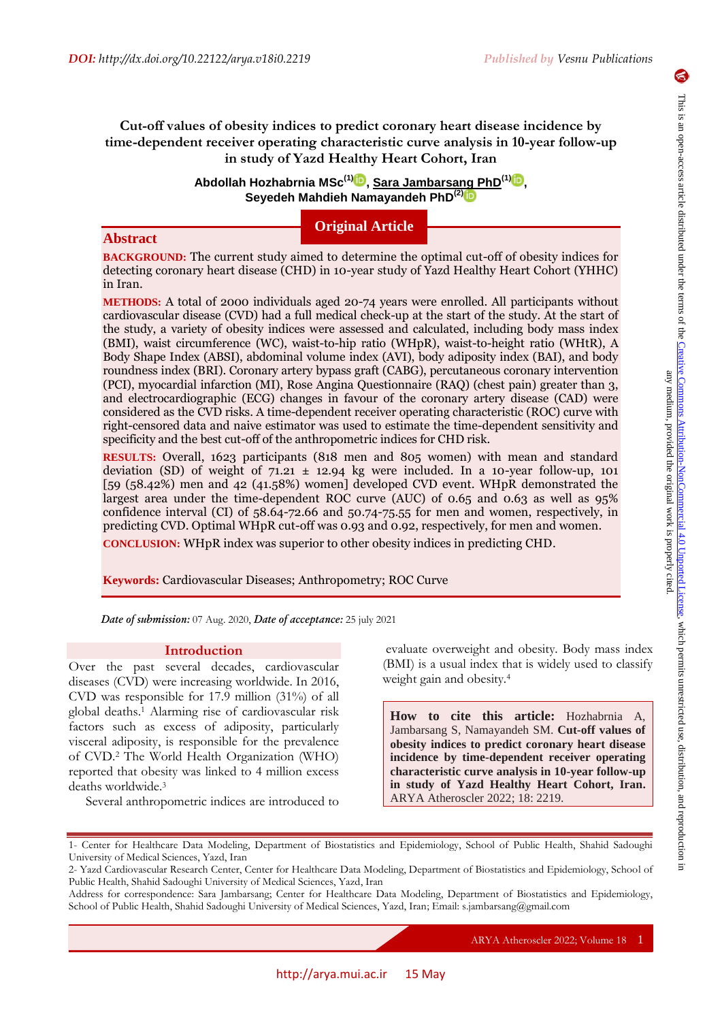# **Cut-off values of obesity indices to predict coronary heart disease incidence by time-dependent receiver operating characteristic curve analysis in 10-year follow-up in study of Yazd Healthy Heart Cohort, Iran**

**Abdollah Hozhabrnia MSc(1) , Sara Jambarsang PhD(1) , Seyedeh Mahdieh Namayandeh PhD(2)**

**Original Article**

# **Abstract**

**BACKGROUND:** The current study aimed to determine the optimal cut-off of obesity indices for detecting coronary heart disease (CHD) in 10-year study of Yazd Healthy Heart Cohort (YHHC) in Iran.

**METHODS:** A total of 2000 individuals aged 20-74 years were enrolled. All participants without cardiovascular disease (CVD) had a full medical check-up at the start of the study. At the start of the study, a variety of obesity indices were assessed and calculated, including body mass index (BMI), waist circumference (WC), waist-to-hip ratio (WHpR), waist-to-height ratio (WHtR), A Body Shape Index (ABSI), abdominal volume index (AVI), body adiposity index (BAI), and body roundness index (BRI). Coronary artery bypass graft (CABG), percutaneous coronary intervention (PCI), myocardial infarction (MI), Rose Angina Questionnaire (RAQ) (chest pain) greater than 3, and electrocardiographic (ECG) changes in favour of the coronary artery disease (CAD) were considered as the CVD risks. A time-dependent receiver operating characteristic (ROC) curve with right-censored data and naive estimator was used to estimate the time-dependent sensitivity and specificity and the best cut-off of the anthropometric indices for CHD risk.

**RESULTS:** Overall, 1623 participants (818 men and 805 women) with mean and standard deviation (SD) of weight of  $71.21 \pm 12.94$  kg were included. In a 10-year follow-up, 101 [59 (58.42%) men and 42 (41.58%) women] developed CVD event. WHpR demonstrated the largest area under the time-dependent ROC curve (AUC) of 0.65 and 0.63 as well as 95% confidence interval (CI) of 58.64-72.66 and 50.74-75.55 for men and women, respectively, in predicting CVD. Optimal WHpR cut-off was 0.93 and 0.92, respectively, for men and women.

**CONCLUSION:** WHpR index was superior to other obesity indices in predicting CHD.

**Keywords:** Cardiovascular Diseases; Anthropometry; ROC Curve

*Date of submission:* 07 Aug. 2020, *Date of acceptance:* 25 july 2021

### **Introduction**

Over the past several decades, cardiovascular diseases (CVD) were increasing worldwide. In 2016, CVD was responsible for 17.9 million (31%) of all global deaths.<sup>1</sup> Alarming rise of cardiovascular risk factors such as excess of adiposity, particularly visceral adiposity, is responsible for the prevalence of CVD.<sup>2</sup> The World Health Organization (WHO) reported that obesity was linked to 4 million excess deaths worldwide.<sup>3</sup>

Several anthropometric indices are introduced to

evaluate overweight and obesity. Body mass index (BMI) is a usual index that is widely used to classify weight gain and obesity.<sup>4</sup>

**How to cite this article:** Hozhabrnia A, Jambarsang S, Namayandeh SM. **Cut-off values of obesity indices to predict coronary heart disease incidence by time-dependent receiver operating characteristic curve analysis in 10-year follow-up in study of Yazd Healthy Heart Cohort, Iran.** ARYA Atheroscler 2022; 18: 2219.

ARYA Atheroscler 2022; Volume 18 1

<sup>1-</sup> Center for Healthcare Data Modeling, Department of Biostatistics and Epidemiology, School of Public Health, Shahid Sadoughi University of Medical Sciences, Yazd, Iran

<sup>2-</sup> Yazd Cardiovascular Research Center, Center for Healthcare Data Modeling, Department of Biostatistics and Epidemiology, School of Public Health, Shahid Sadoughi University of Medical Sciences, Yazd, Iran

Address for correspondence: Sara Jambarsang; Center for Healthcare Data Modeling, Department of Biostatistics and Epidemiology, School of Public Health, Shahid Sadoughi University of Medical Sciences, Yazd, Iran; Email: s.jambarsang@gmail.com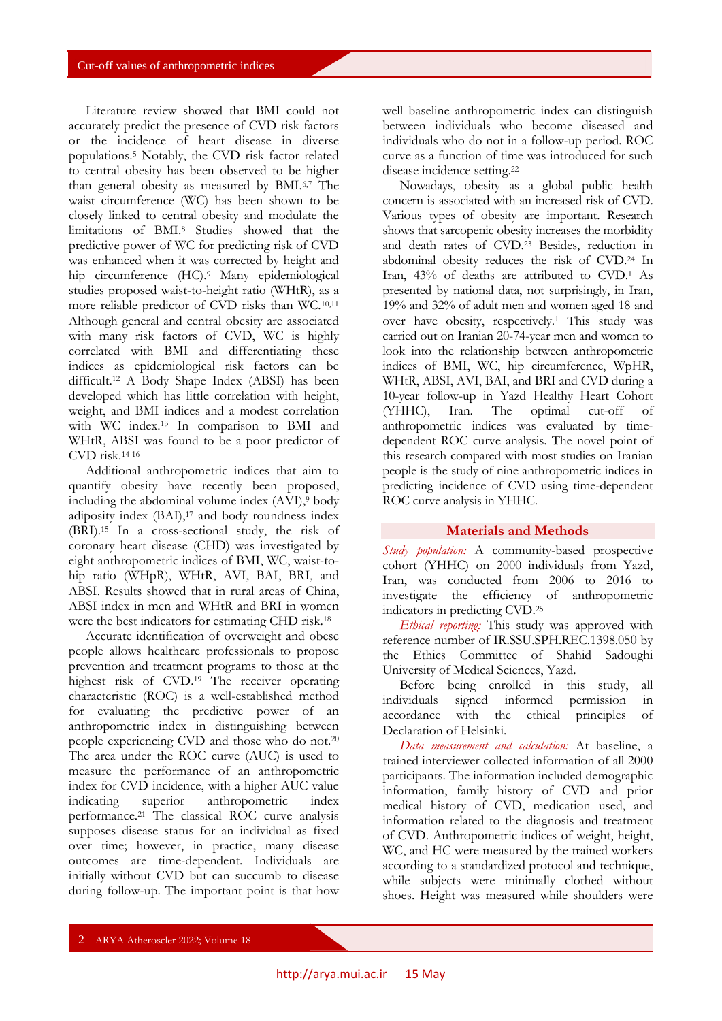Literature review showed that BMI could not accurately predict the presence of CVD risk factors or the incidence of heart disease in diverse populations.<sup>5</sup> Notably, the CVD risk factor related to central obesity has been observed to be higher than general obesity as measured by BMI.6,7 The waist circumference (WC) has been shown to be closely linked to central obesity and modulate the limitations of BMI.<sup>8</sup> Studies showed that the predictive power of WC for predicting risk of CVD was enhanced when it was corrected by height and hip circumference (HC).<sup>9</sup> Many epidemiological studies proposed waist-to-height ratio (WHtR), as a more reliable predictor of CVD risks than WC.<sup>10,11</sup> Although general and central obesity are associated with many risk factors of CVD, WC is highly correlated with BMI and differentiating these indices as epidemiological risk factors can be difficult.<sup>12</sup> A Body Shape Index (ABSI) has been developed which has little correlation with height, weight, and BMI indices and a modest correlation with WC index.<sup>13</sup> In comparison to BMI and WHtR, ABSI was found to be a poor predictor of CVD risk.14-16

Additional anthropometric indices that aim to quantify obesity have recently been proposed, including the abdominal volume index (AVI),<sup>9</sup> body adiposity index (BAI),<sup>17</sup> and body roundness index (BRI).<sup>15</sup> In a cross-sectional study, the risk of coronary heart disease (CHD) was investigated by eight anthropometric indices of BMI, WC, waist-tohip ratio (WHpR), WHtR, AVI, BAI, BRI, and ABSI. Results showed that in rural areas of China, ABSI index in men and WHtR and BRI in women were the best indicators for estimating CHD risk.<sup>18</sup>

Accurate identification of overweight and obese people allows healthcare professionals to propose prevention and treatment programs to those at the highest risk of CVD.<sup>19</sup> The receiver operating characteristic (ROC) is a well-established method for evaluating the predictive power of an anthropometric index in distinguishing between people experiencing CVD and those who do not.<sup>20</sup> The area under the ROC curve (AUC) is used to measure the performance of an anthropometric index for CVD incidence, with a higher AUC value<br>indicating superior anthropometric index indicating superior anthropometric index performance.<sup>21</sup> The classical ROC curve analysis supposes disease status for an individual as fixed over time; however, in practice, many disease outcomes are time-dependent. Individuals are initially without CVD but can succumb to disease during follow-up. The important point is that how

well baseline anthropometric index can distinguish between individuals who become diseased and individuals who do not in a follow-up period. ROC curve as a function of time was introduced for such disease incidence setting.<sup>22</sup>

Nowadays, obesity as a global public health concern is associated with an increased risk of CVD. Various types of obesity are important. Research shows that sarcopenic obesity increases the morbidity and death rates of CVD.<sup>23</sup> Besides, reduction in abdominal obesity reduces the risk of CVD.<sup>24</sup> In Iran, 43% of deaths are attributed to CVD.<sup>1</sup> As presented by national data, not surprisingly, in Iran, 19% and 32% of adult men and women aged 18 and over have obesity, respectively.<sup>1</sup> This study was carried out on Iranian 20-74-year men and women to look into the relationship between anthropometric indices of BMI, WC, hip circumference, WpHR, WHtR, ABSI, AVI, BAI, and BRI and CVD during a 10-year follow-up in Yazd Healthy Heart Cohort (YHHC), Iran. The optimal cut-off of anthropometric indices was evaluated by timedependent ROC curve analysis. The novel point of this research compared with most studies on Iranian people is the study of nine anthropometric indices in predicting incidence of CVD using time-dependent ROC curve analysis in YHHC.

# **Materials and Methods**

*Study population:* A community-based prospective cohort (YHHC) on 2000 individuals from Yazd, Iran, was conducted from 2006 to 2016 to investigate the efficiency of anthropometric indicators in predicting CVD.<sup>25</sup>

*Ethical reporting:* This study was approved with reference number of IR.SSU.SPH.REC.1398.050 by the Ethics Committee of Shahid Sadoughi University of Medical Sciences, Yazd.

Before being enrolled in this study, all individuals signed informed permission in accordance with the ethical principles of Declaration of Helsinki.

*Data measurement and calculation:* At baseline, a trained interviewer collected information of all 2000 participants. The information included demographic information, family history of CVD and prior medical history of CVD, medication used, and information related to the diagnosis and treatment of CVD. Anthropometric indices of weight, height, WC, and HC were measured by the trained workers according to a standardized protocol and technique, while subjects were minimally clothed without shoes. Height was measured while shoulders were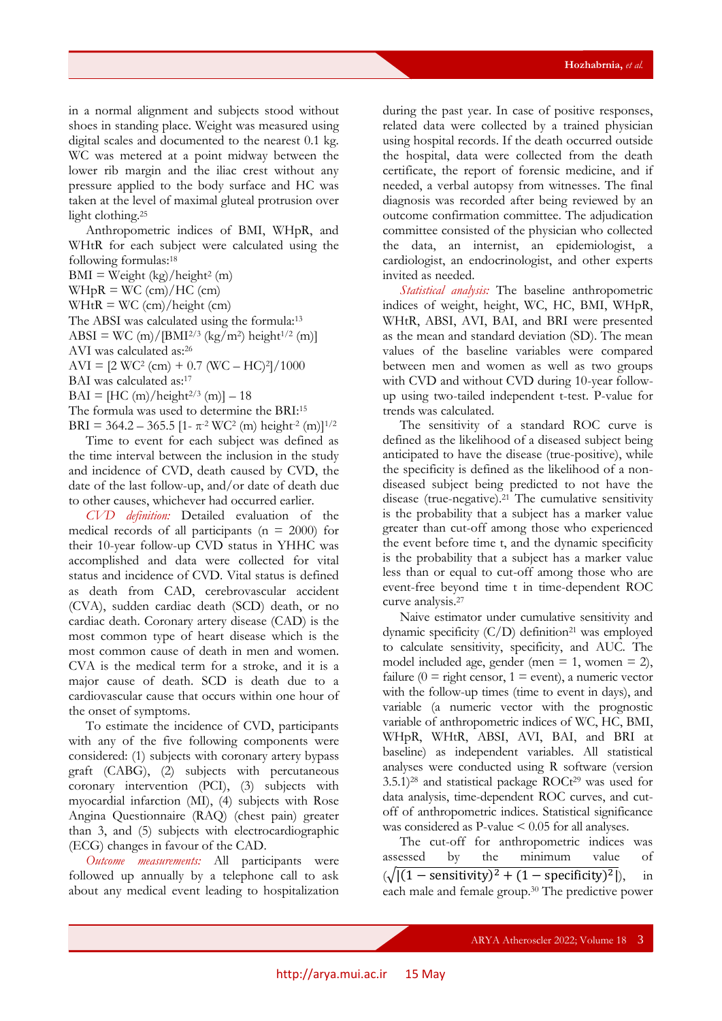in a normal alignment and subjects stood without shoes in standing place. Weight was measured using digital scales and documented to the nearest 0.1 kg. WC was metered at a point midway between the lower rib margin and the iliac crest without any pressure applied to the body surface and HC was taken at the level of maximal gluteal protrusion over light clothing.<sup>25</sup>

Anthropometric indices of BMI, WHpR, and WHtR for each subject were calculated using the following formulas:<sup>18</sup>

 $BMI = Weight (kg)/height<sup>2</sup> (m)$  $WHpR = WC$  (cm)/HC (cm)  $WHtR = WC$  (cm)/height (cm) The ABSI was calculated using the formula:<sup>13</sup>  $\text{ABSI} = \text{WC (m)}/[\text{BMI}^{2/3} \text{ (kg/m²) height}^{1/2} \text{ (m)}]$ AVI was calculated as:<sup>26</sup>

 $AVI = [2 WC^2 (cm) + 0.7 (WC - HC)^2]/1000$ 

BAI was calculated as:<sup>17</sup>

 $BAL = [HC (m)/height^{2/3} (m)] - 18$ 

The formula was used to determine the BRI:<sup>15</sup>

BRI = 364.2 – 365.5 [1- π<sup>-2</sup> WC<sup>2</sup> (m) height<sup>-2</sup> (m)]<sup>1/2</sup> Time to event for each subject was defined as the time interval between the inclusion in the study and incidence of CVD, death caused by CVD, the date of the last follow-up, and/or date of death due to other causes, whichever had occurred earlier.

*CVD definition:* Detailed evaluation of the medical records of all participants ( $n = 2000$ ) for their 10-year follow-up CVD status in YHHC was accomplished and data were collected for vital status and incidence of CVD. Vital status is defined as death from CAD, cerebrovascular accident (CVA), sudden cardiac death (SCD) death, or no cardiac death. Coronary artery disease (CAD) is the most common type of heart disease which is the most common cause of death in men and women. CVA is the medical term for a stroke, and it is a major cause of death. SCD is death due to a cardiovascular cause that occurs within one hour of the onset of symptoms.

To estimate the incidence of CVD, participants with any of the five following components were considered: (1) subjects with coronary artery bypass graft (CABG), (2) subjects with percutaneous coronary intervention (PCI), (3) subjects with myocardial infarction (MI), (4) subjects with Rose Angina Questionnaire (RAQ) (chest pain) greater than 3, and (5) subjects with electrocardiographic (ECG) changes in favour of the CAD.

*Outcome measurements:* All participants were followed up annually by a telephone call to ask about any medical event leading to hospitalization

during the past year. In case of positive responses, related data were collected by a trained physician using hospital records. If the death occurred outside the hospital, data were collected from the death certificate, the report of forensic medicine, and if needed, a verbal autopsy from witnesses. The final diagnosis was recorded after being reviewed by an outcome confirmation committee. The adjudication committee consisted of the physician who collected the data, an internist, an epidemiologist, a cardiologist, an endocrinologist, and other experts invited as needed.

*Statistical analysis:* The baseline anthropometric indices of weight, height, WC, HC, BMI, WHpR, WHtR, ABSI, AVI, BAI, and BRI were presented as the mean and standard deviation (SD). The mean values of the baseline variables were compared between men and women as well as two groups with CVD and without CVD during 10-year followup using two-tailed independent t-test. P-value for trends was calculated.

The sensitivity of a standard ROC curve is defined as the likelihood of a diseased subject being anticipated to have the disease (true-positive), while the specificity is defined as the likelihood of a nondiseased subject being predicted to not have the disease (true-negative).<sup>21</sup> The cumulative sensitivity is the probability that a subject has a marker value greater than cut-off among those who experienced the event before time t, and the dynamic specificity is the probability that a subject has a marker value less than or equal to cut-off among those who are event-free beyond time t in time-dependent ROC curve analysis.<sup>27</sup>

Naive estimator under cumulative sensitivity and dynamic specificity  $(C/D)$  definition<sup>21</sup> was employed to calculate sensitivity, specificity, and AUC. The model included age, gender (men  $= 1$ , women  $= 2$ ), failure ( $0 =$  right censor,  $1 =$  event), a numeric vector with the follow-up times (time to event in days), and variable (a numeric vector with the prognostic variable of anthropometric indices of WC, HC, BMI, WHpR, WHtR, ABSI, AVI, BAI, and BRI at baseline) as independent variables. All statistical analyses were conducted using R software (version  $3.5.1$ )<sup>28</sup> and statistical package ROCt<sup>29</sup> was used for data analysis, time-dependent ROC curves, and cutoff of anthropometric indices. Statistical significance was considered as  $P$ -value  $\leq 0.05$  for all analyses.

The cut-off for anthropometric indices was assessed by the minimum value of  $(\sqrt{|(1 - \text{sensitivity})^2 + (1 - \text{specificity})^2|}), \text{ in}$ each male and female group.<sup>30</sup> The predictive power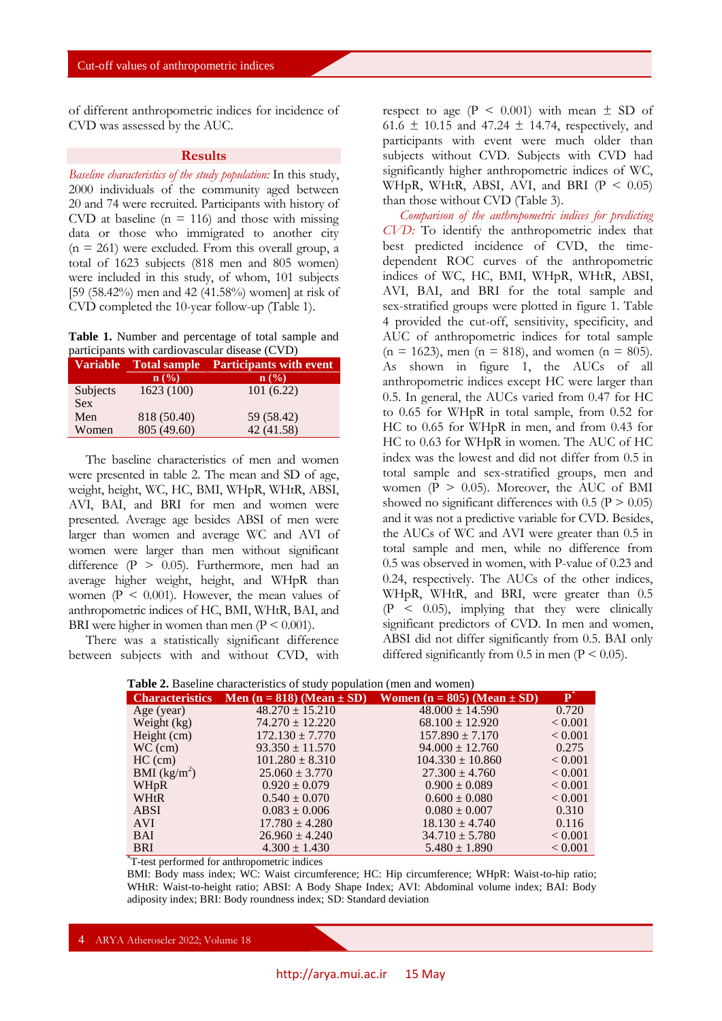of different anthropometric indices for incidence of CVD was assessed by the AUC.

#### **Results**

*Baseline characteristics of the study population:* In this study, 2000 individuals of the community aged between 20 and 74 were recruited. Participants with history of CVD at baseline ( $n = 116$ ) and those with missing data or those who immigrated to another city  $(n = 261)$  were excluded. From this overall group, a total of 1623 subjects (818 men and 805 women) were included in this study, of whom, 101 subjects [59 (58.42%) men and 42 (41.58%) women] at risk of CVD completed the 10-year follow-up (Table 1).

**Table 1.** Number and percentage of total sample and participants with cardiovascular disease (CVD)

| <b>Variable</b> | <b>Total sample</b> | <b>Participants with event</b> |  |  |
|-----------------|---------------------|--------------------------------|--|--|
|                 | $\mathbf{n}(\%)$    | n (%)                          |  |  |
| Subjects        | 1623 (100)          | 101(6.22)                      |  |  |
| <b>Sex</b>      |                     |                                |  |  |
| Men             | 818 (50.40)         | 59 (58.42)                     |  |  |
| Women           | 805 (49.60)         | 42 (41.58)                     |  |  |

The baseline characteristics of men and women were presented in table 2. The mean and SD of age, weight, height, WC, HC, BMI, WHpR, WHtR, ABSI, AVI, BAI, and BRI for men and women were presented. Average age besides ABSI of men were larger than women and average WC and AVI of women were larger than men without significant difference (P > 0.05). Furthermore, men had an average higher weight, height, and WHpR than women ( $P \leq 0.001$ ). However, the mean values of anthropometric indices of HC, BMI, WHtR, BAI, and BRI were higher in women than men  $(P < 0.001)$ .

There was a statistically significant difference between subjects with and without CVD, with

respect to age ( $P \le 0.001$ ) with mean  $\pm$  SD of 61.6  $\pm$  10.15 and 47.24  $\pm$  14.74, respectively, and participants with event were much older than subjects without CVD. Subjects with CVD had significantly higher anthropometric indices of WC, WHpR, WHtR, ABSI, AVI, and BRI  $(P < 0.05)$ than those without CVD (Table 3).

*Comparison of the anthropometric indices for predicting CVD:* To identify the anthropometric index that best predicted incidence of CVD, the timedependent ROC curves of the anthropometric indices of WC, HC, BMI, WHpR, WHtR, ABSI, AVI, BAI, and BRI for the total sample and sex-stratified groups were plotted in figure 1. Table 4 provided the cut-off, sensitivity, specificity, and AUC of anthropometric indices for total sample  $(n = 1623)$ , men  $(n = 818)$ , and women  $(n = 805)$ . As shown in figure 1, the AUCs of all anthropometric indices except HC were larger than 0.5. In general, the AUCs varied from 0.47 for HC to 0.65 for WHpR in total sample, from 0.52 for HC to 0.65 for WHpR in men, and from 0.43 for HC to 0.63 for WHpR in women. The AUC of HC index was the lowest and did not differ from 0.5 in total sample and sex-stratified groups, men and women ( $P > 0.05$ ). Moreover, the AUC of BMI showed no significant differences with  $0.5$  (P  $> 0.05$ ) and it was not a predictive variable for CVD. Besides, the AUCs of WC and AVI were greater than 0.5 in total sample and men, while no difference from 0.5 was observed in women, with P-value of 0.23 and 0.24, respectively. The AUCs of the other indices, WHpR, WHtR, and BRI, were greater than 0.5  $(P < 0.05)$ , implying that they were clinically significant predictors of CVD. In men and women, ABSI did not differ significantly from 0.5. BAI only differed significantly from  $0.5$  in men  $(P < 0.05)$ .

| <b>Table 2.</b> Dascrine enargeteristics of study population (filen and women) |                     |                                                                                   |                |  |  |  |
|--------------------------------------------------------------------------------|---------------------|-----------------------------------------------------------------------------------|----------------|--|--|--|
|                                                                                |                     | Characteristics Men $(n = 818)$ (Mean $\pm$ SD) Women $(n = 805)$ (Mean $\pm$ SD) | ${\bf P}^*$    |  |  |  |
| Age (year)                                                                     | $48.270 \pm 15.210$ | $48.000 \pm 14.590$                                                               | 0.720          |  |  |  |
| Weight $(kg)$                                                                  | $74.270 \pm 12.220$ | $68.100 \pm 12.920$                                                               | ${}_{< 0.001}$ |  |  |  |
| Height (cm)                                                                    | $172.130 \pm 7.770$ | $157.890 \pm 7.170$                                                               | < 0.001        |  |  |  |
| $WC$ (cm)                                                                      | $93.350 \pm 11.570$ | $94.000 \pm 12.760$                                                               | 0.275          |  |  |  |
| $HC$ (cm)                                                                      | $101.280 \pm 8.310$ | $104.330 \pm 10.860$                                                              | ${}_{< 0.001}$ |  |  |  |
| BMI (kg/m <sup>2</sup> )                                                       | $25.060 \pm 3.770$  | $27.300 \pm 4.760$                                                                | ${}_{< 0.001}$ |  |  |  |
| <b>WHpR</b>                                                                    | $0.920 \pm 0.079$   | $0.900 \pm 0.089$                                                                 | < 0.001        |  |  |  |
| WHtR                                                                           | $0.540 \pm 0.070$   | $0.600 \pm 0.080$                                                                 | ${}_{< 0.001}$ |  |  |  |
| ABSI                                                                           | $0.083 \pm 0.006$   | $0.080 \pm 0.007$                                                                 | 0.310          |  |  |  |
| <b>AVI</b>                                                                     | $17.780 \pm 4.280$  | $18.130 \pm 4.740$                                                                | 0.116          |  |  |  |
| <b>BAI</b>                                                                     | $26.960 \pm 4.240$  | $34.710 \pm 5.780$                                                                | < 0.001        |  |  |  |
| <b>BRI</b>                                                                     | $4.300 \pm 1.430$   | $5.480 \pm 1.890$                                                                 | < 0.001        |  |  |  |

**Table 2.** Baseline characteristics of study population (men and women)

\*T-test performed for anthropometric indices

BMI: Body mass index; WC: Waist circumference; HC: Hip circumference; WHpR: Waist-to-hip ratio; WHtR: Waist-to-height ratio; ABSI: A Body Shape Index; AVI: Abdominal volume index; BAI: Body adiposity index; BRI: Body roundness index; SD: Standard deviation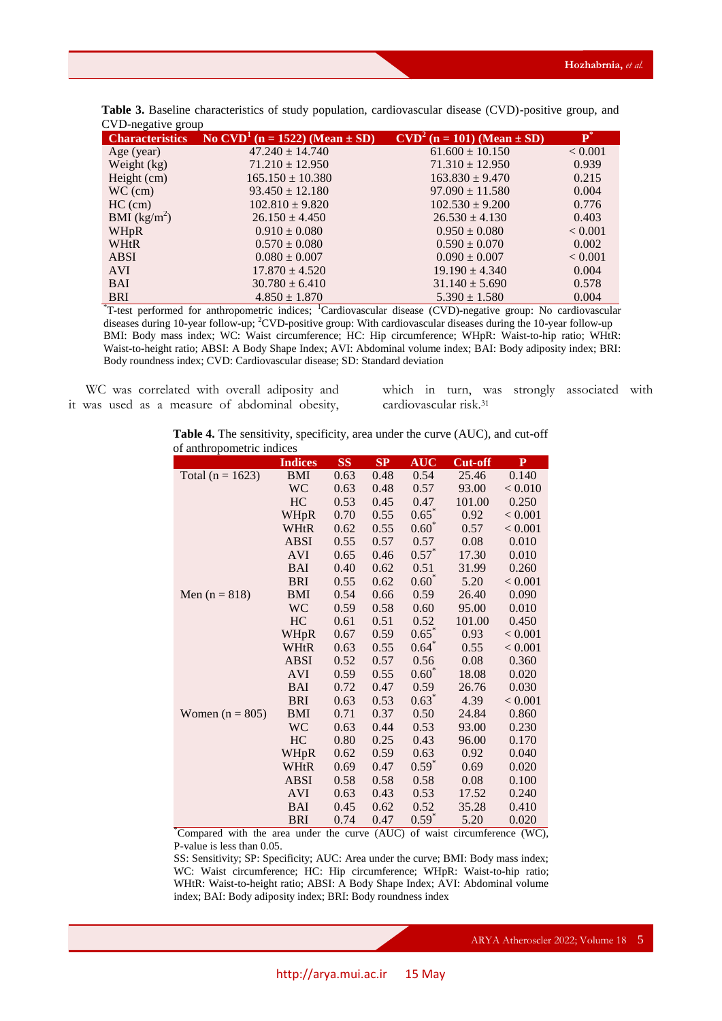| <b>Characteristics</b> | No CVD <sup>1</sup> (n = 1522) (Mean $\pm$ SD) | $CVD2$ (n = 101) (Mean $\pm$ SD) | $\mathbf{P}^*$ |
|------------------------|------------------------------------------------|----------------------------------|----------------|
| Age (year)             | $47.240 \pm 14.740$                            | $61.600 \pm 10.150$              | < 0.001        |
| Weight (kg)            | $71.210 \pm 12.950$                            | $71.310 \pm 12.950$              | 0.939          |
| Height (cm)            | $165.150 \pm 10.380$                           | $163.830 \pm 9.470$              | 0.215          |
| $WC$ (cm)              | $93.450 \pm 12.180$                            | $97.090 \pm 11.580$              | 0.004          |
| $HC$ (cm)              | $102.810 \pm 9.820$                            | $102.530 \pm 9.200$              | 0.776          |
| BMI $(kg/m^2)$         | $26.150 \pm 4.450$                             | $26.530 \pm 4.130$               | 0.403          |
| WHpR                   | $0.910 \pm 0.080$                              | $0.950 \pm 0.080$                | < 0.001        |
| WHtR                   | $0.570 \pm 0.080$                              | $0.590 \pm 0.070$                | 0.002          |
| <b>ABSI</b>            | $0.080 \pm 0.007$                              | $0.090 \pm 0.007$                | < 0.001        |
| <b>AVI</b>             | $17.870 \pm 4.520$                             | $19.190 \pm 4.340$               | 0.004          |
| <b>BAI</b>             | $30.780 \pm 6.410$                             | $31.140 \pm 5.690$               | 0.578          |
| <b>BRI</b>             | $4.850 \pm 1.870$                              | $5.390 \pm 1.580$                | 0.004          |

**Table 3.** Baseline characteristics of study population, cardiovascular disease (CVD)-positive group, and CVD-negative group

<sup>\*</sup>T-test performed for anthropometric indices; <sup>1</sup>Cardiovascular disease (CVD)-negative group: No cardiovascular diseases during 10-year follow-up; <sup>2</sup>CVD-positive group: With cardiovascular diseases during the 10-year follow-up BMI: Body mass index; WC: Waist circumference; HC: Hip circumference; WHpR: Waist-to-hip ratio; WHtR: Waist-to-height ratio; ABSI: A Body Shape Index; AVI: Abdominal volume index; BAI: Body adiposity index; BRI: Body roundness index; CVD: Cardiovascular disease; SD: Standard deviation

WC was correlated with overall adiposity and it was used as a measure of abdominal obesity, which in turn, was strongly associated with cardiovascular risk.<sup>31</sup>

**Table 4.** The sensitivity, specificity, area under the curve (AUC), and cut-off of anthropometric indices

|                      | <b>Indices</b> | <b>SS</b> | SP   | <b>AUC</b> | <b>Cut-off</b> | $\mathbf{P}$ |
|----------------------|----------------|-----------|------|------------|----------------|--------------|
| Total ( $n = 1623$ ) | <b>BMI</b>     | 0.63      | 0.48 | 0.54       | 25.46          | 0.140        |
|                      | <b>WC</b>      | 0.63      | 0.48 | 0.57       | 93.00          | < 0.010      |
|                      | HC             | 0.53      | 0.45 | 0.47       | 101.00         | 0.250        |
|                      | WHpR           | 0.70      | 0.55 | $0.65*$    | 0.92           | < 0.001      |
|                      | WHtR           | 0.62      | 0.55 | $0.60*$    | 0.57           | < 0.001      |
|                      | <b>ABSI</b>    | 0.55      | 0.57 | 0.57       | 0.08           | 0.010        |
|                      | <b>AVI</b>     | 0.65      | 0.46 | $0.57^*$   | 17.30          | 0.010        |
|                      | <b>BAI</b>     | 0.40      | 0.62 | 0.51       | 31.99          | 0.260        |
|                      | <b>BRI</b>     | 0.55      | 0.62 | $0.60*$    | 5.20           | < 0.001      |
| Men $(n = 818)$      | <b>BMI</b>     | 0.54      | 0.66 | 0.59       | 26.40          | 0.090        |
|                      | WC             | 0.59      | 0.58 | 0.60       | 95.00          | 0.010        |
|                      | HC             | 0.61      | 0.51 | 0.52       | 101.00         | 0.450        |
|                      | WHpR           | 0.67      | 0.59 | $0.65*$    | 0.93           | < 0.001      |
|                      | WHtR           | 0.63      | 0.55 | $0.64*$    | 0.55           | < 0.001      |
|                      | <b>ABSI</b>    | 0.52      | 0.57 | 0.56       | 0.08           | 0.360        |
|                      | <b>AVI</b>     | 0.59      | 0.55 | $0.60*$    | 18.08          | 0.020        |
|                      | <b>BAI</b>     | 0.72      | 0.47 | 0.59       | 26.76          | 0.030        |
|                      | <b>BRI</b>     | 0.63      | 0.53 | $0.63*$    | 4.39           | < 0.001      |
| Women $(n = 805)$    | <b>BMI</b>     | 0.71      | 0.37 | 0.50       | 24.84          | 0.860        |
|                      | WC             | 0.63      | 0.44 | 0.53       | 93.00          | 0.230        |
|                      | HC             | 0.80      | 0.25 | 0.43       | 96.00          | 0.170        |
|                      | <b>WHpR</b>    | 0.62      | 0.59 | 0.63       | 0.92           | 0.040        |
|                      | WHtR           | 0.69      | 0.47 | $0.59*$    | 0.69           | 0.020        |
|                      | <b>ABSI</b>    | 0.58      | 0.58 | 0.58       | 0.08           | 0.100        |
|                      | <b>AVI</b>     | 0.63      | 0.43 | 0.53       | 17.52          | 0.240        |
|                      | <b>BAI</b>     | 0.45      | 0.62 | 0.52       | 35.28          | 0.410        |
|                      | <b>BRI</b>     | 0.74      | 0.47 | $0.59*$    | 5.20           | 0.020        |

\*Compared with the area under the curve (AUC) of waist circumference (WC), P-value is less than 0.05.

SS: Sensitivity; SP: Specificity; AUC: Area under the curve; BMI: Body mass index; WC: Waist circumference; HC: Hip circumference; WHpR: Waist-to-hip ratio; WHtR: Waist-to-height ratio; ABSI: A Body Shape Index; AVI: Abdominal volume index; BAI: Body adiposity index; BRI: Body roundness index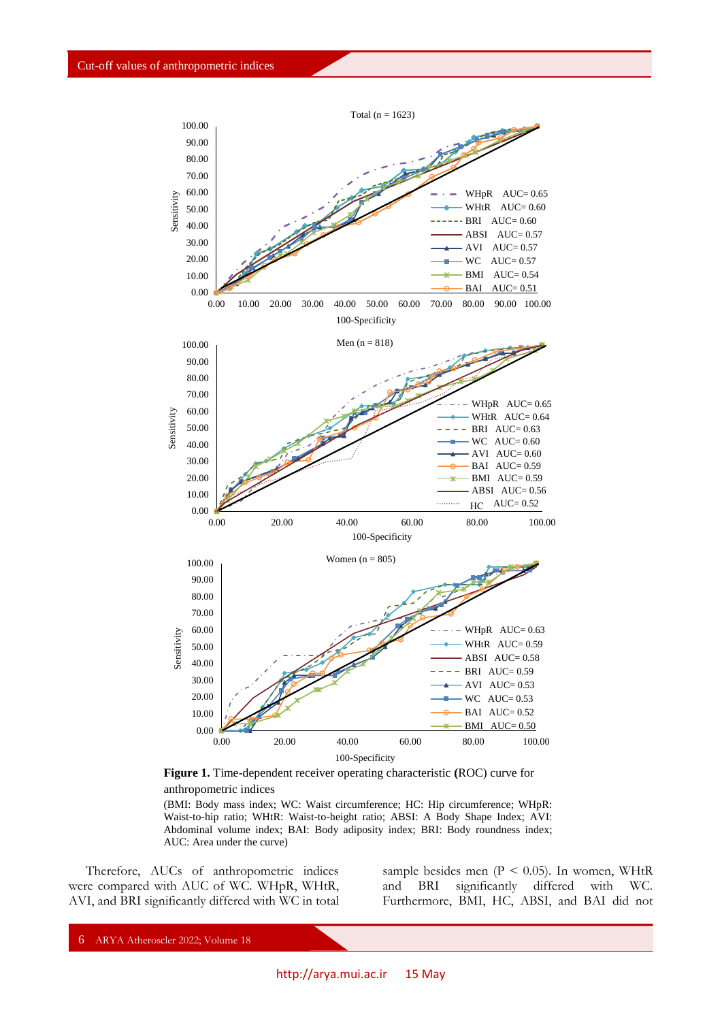

**Figure 1.** Time-dependent receiver operating characteristic **(**ROC) curve for anthropometric indices

(BMI: Body mass index; WC: Waist circumference; HC: Hip circumference; WHpR: Waist-to-hip ratio; WHtR: Waist-to-height ratio; ABSI: A Body Shape Index; AVI: Abdominal volume index; BAI: Body adiposity index; BRI: Body roundness index; AUC: Area under the curve)

Therefore, AUCs of anthropometric indices were compared with AUC of WC. WHpR, WHtR, AVI, and BRI significantly differed with WC in total sample besides men  $(P < 0.05)$ . In women, WHtR and BRI significantly differed with WC. Furthermore, BMI, HC, ABSI, and BAI did not

6 ARYA Atheroscler 2022; Volume 18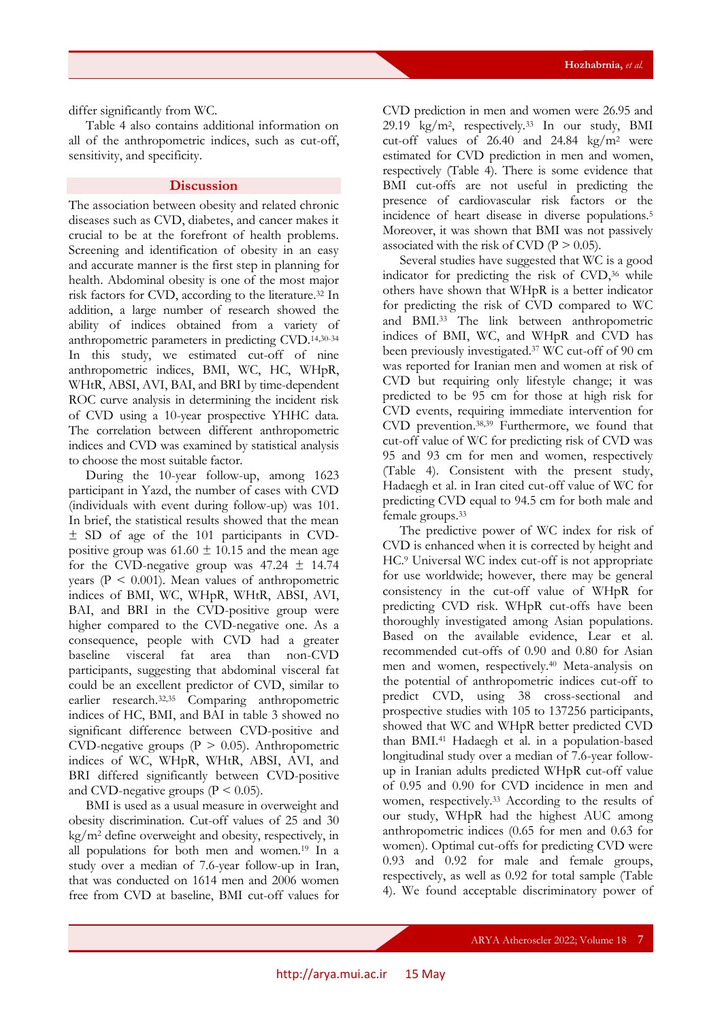differ significantly from WC.

Table 4 also contains additional information on all of the anthropometric indices, such as cut-off, sensitivity, and specificity.

# **Discussion**

The association between obesity and related chronic diseases such as CVD, diabetes, and cancer makes it crucial to be at the forefront of health problems. Screening and identification of obesity in an easy and accurate manner is the first step in planning for health. Abdominal obesity is one of the most major risk factors for CVD, according to the literature.<sup>32</sup> In addition, a large number of research showed the ability of indices obtained from a variety of anthropometric parameters in predicting CVD. 14,30-34 In this study, we estimated cut-off of nine anthropometric indices, BMI, WC, HC, WHpR, WHtR, ABSI, AVI, BAI, and BRI by time-dependent ROC curve analysis in determining the incident risk of CVD using a 10-year prospective YHHC data. The correlation between different anthropometric indices and CVD was examined by statistical analysis to choose the most suitable factor.

During the 10-year follow-up, among 1623 participant in Yazd, the number of cases with CVD (individuals with event during follow-up) was 101. In brief, the statistical results showed that the mean ± SD of age of the 101 participants in CVDpositive group was  $61.60 \pm 10.15$  and the mean age for the CVD-negative group was  $47.24 \pm 14.74$ years ( $P < 0.001$ ). Mean values of anthropometric indices of BMI, WC, WHpR, WHtR, ABSI, AVI, BAI, and BRI in the CVD-positive group were higher compared to the CVD-negative one. As a consequence, people with CVD had a greater baseline visceral fat area than non-CVD participants, suggesting that abdominal visceral fat could be an excellent predictor of CVD, similar to earlier research.32,35 Comparing anthropometric indices of HC, BMI, and BAI in table 3 showed no significant difference between CVD-positive and CVD-negative groups  $(P > 0.05)$ . Anthropometric indices of WC, WHpR, WHtR, ABSI, AVI, and BRI differed significantly between CVD-positive and CVD-negative groups ( $P \le 0.05$ ).

BMI is used as a usual measure in overweight and obesity discrimination. Cut-off values of 25 and 30 kg/m<sup>2</sup> define overweight and obesity, respectively, in all populations for both men and women.<sup>19</sup> In a study over a median of 7.6-year follow-up in Iran, that was conducted on 1614 men and 2006 women free from CVD at baseline, BMI cut-off values for

CVD prediction in men and women were 26.95 and 29.19 kg/m<sup>2</sup> , respectively.<sup>33</sup> In our study, BMI cut-off values of  $26.40$  and  $24.84$  kg/m<sup>2</sup> were estimated for CVD prediction in men and women, respectively (Table 4). There is some evidence that BMI cut-offs are not useful in predicting the presence of cardiovascular risk factors or the incidence of heart disease in diverse populations.<sup>5</sup> Moreover, it was shown that BMI was not passively associated with the risk of CVD ( $P > 0.05$ ).

Several studies have suggested that WC is a good indicator for predicting the risk of CVD,<sup>36</sup> while others have shown that WHpR is a better indicator for predicting the risk of CVD compared to WC and BMI.<sup>33</sup> The link between anthropometric indices of BMI, WC, and WHpR and CVD has been previously investigated.<sup>37</sup> WC cut-off of 90 cm was reported for Iranian men and women at risk of CVD but requiring only lifestyle change; it was predicted to be 95 cm for those at high risk for CVD events, requiring immediate intervention for CVD prevention.38,39 Furthermore, we found that cut-off value of WC for predicting risk of CVD was 95 and 93 cm for men and women, respectively (Table 4). Consistent with the present study, Hadaegh et al. in Iran cited cut-off value of WC for predicting CVD equal to 94.5 cm for both male and female groups.<sup>33</sup>

The predictive power of WC index for risk of CVD is enhanced when it is corrected by height and HC.<sup>9</sup> Universal WC index cut-off is not appropriate for use worldwide; however, there may be general consistency in the cut-off value of WHpR for predicting CVD risk. WHpR cut-offs have been thoroughly investigated among Asian populations. Based on the available evidence, Lear et al. recommended cut-offs of 0.90 and 0.80 for Asian men and women, respectively.<sup>40</sup> Meta-analysis on the potential of anthropometric indices cut-off to predict CVD, using 38 cross-sectional and prospective studies with 105 to 137256 participants, showed that WC and WHpR better predicted CVD than BMI.<sup>41</sup> Hadaegh et al. in a population-based longitudinal study over a median of 7.6-year followup in Iranian adults predicted WHpR cut-off value of 0.95 and 0.90 for CVD incidence in men and women, respectively.<sup>33</sup> According to the results of our study, WHpR had the highest AUC among anthropometric indices (0.65 for men and 0.63 for women). Optimal cut-offs for predicting CVD were 0.93 and 0.92 for male and female groups, respectively, as well as 0.92 for total sample (Table 4). We found acceptable discriminatory power of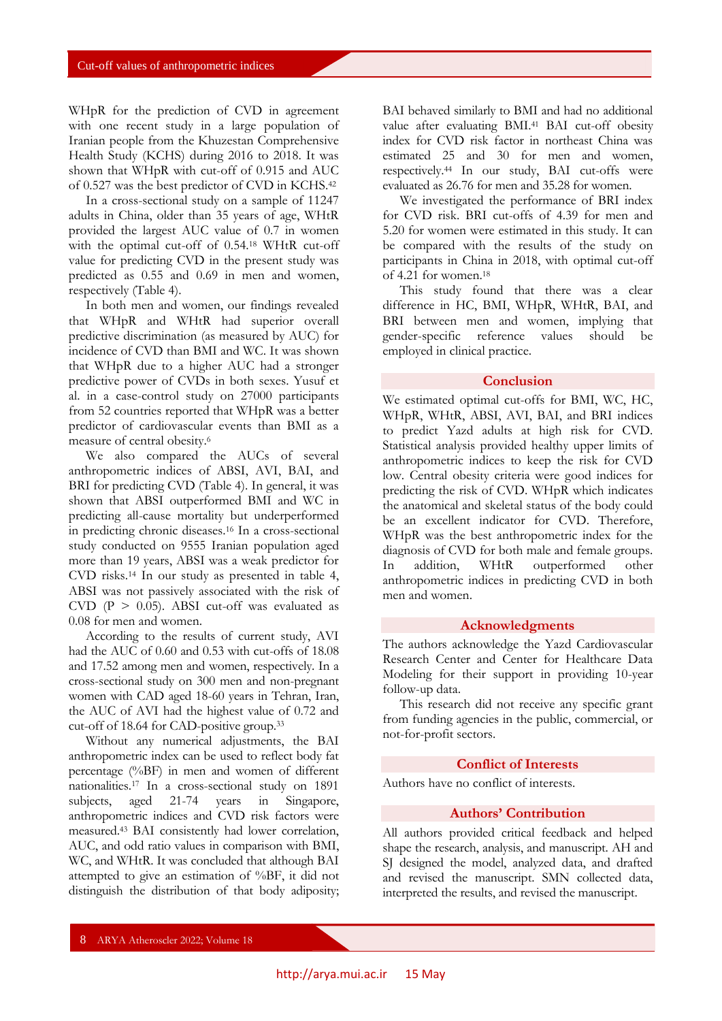WHpR for the prediction of CVD in agreement with one recent study in a large population of Iranian people from the Khuzestan Comprehensive Health Study (KCHS) during 2016 to 2018. It was shown that WHpR with cut-off of 0.915 and AUC of 0.527 was the best predictor of CVD in KCHS.<sup>42</sup>

In a cross-sectional study on a sample of 11247 adults in China, older than 35 years of age, WHtR provided the largest AUC value of 0.7 in women with the optimal cut-off of 0.54.<sup>18</sup> WHtR cut-off value for predicting CVD in the present study was predicted as 0.55 and 0.69 in men and women, respectively (Table 4).

In both men and women, our findings revealed that WHpR and WHtR had superior overall predictive discrimination (as measured by AUC) for incidence of CVD than BMI and WC. It was shown that WHpR due to a higher AUC had a stronger predictive power of CVDs in both sexes. Yusuf et al. in a case-control study on 27000 participants from 52 countries reported that WHpR was a better predictor of cardiovascular events than BMI as a measure of central obesity.<sup>6</sup>

We also compared the AUCs of several anthropometric indices of ABSI, AVI, BAI, and BRI for predicting CVD (Table 4). In general, it was shown that ABSI outperformed BMI and WC in predicting all-cause mortality but underperformed in predicting chronic diseases.<sup>16</sup> In a cross-sectional study conducted on 9555 Iranian population aged more than 19 years, ABSI was a weak predictor for CVD risks.<sup>14</sup> In our study as presented in table 4, ABSI was not passively associated with the risk of CVD ( $P > 0.05$ ). ABSI cut-off was evaluated as 0.08 for men and women.

According to the results of current study, AVI had the AUC of 0.60 and 0.53 with cut-offs of 18.08 and 17.52 among men and women, respectively. In a cross-sectional study on 300 men and non-pregnant women with CAD aged 18-60 years in Tehran, Iran, the AUC of AVI had the highest value of 0.72 and cut-off of 18.64 for CAD-positive group.<sup>33</sup>

Without any numerical adjustments, the BAI anthropometric index can be used to reflect body fat percentage (%BF) in men and women of different nationalities.<sup>17</sup> In a cross-sectional study on 1891 subjects, aged 21-74 years in Singapore, anthropometric indices and CVD risk factors were measured.<sup>43</sup> BAI consistently had lower correlation, AUC, and odd ratio values in comparison with BMI, WC, and WHtR. It was concluded that although BAI attempted to give an estimation of %BF, it did not distinguish the distribution of that body adiposity; BAI behaved similarly to BMI and had no additional value after evaluating BMI.<sup>41</sup> BAI cut-off obesity index for CVD risk factor in northeast China was estimated 25 and 30 for men and women, respectively.<sup>44</sup> In our study, BAI cut-offs were evaluated as 26.76 for men and 35.28 for women.

We investigated the performance of BRI index for CVD risk. BRI cut-offs of 4.39 for men and 5.20 for women were estimated in this study. It can be compared with the results of the study on participants in China in 2018, with optimal cut-off of 4.21 for women.<sup>18</sup>

This study found that there was a clear difference in HC, BMI, WHpR, WHtR, BAI, and BRI between men and women, implying that gender-specific reference values should be employed in clinical practice.

#### **Conclusion**

We estimated optimal cut-offs for BMI, WC, HC, WHpR, WHtR, ABSI, AVI, BAI, and BRI indices to predict Yazd adults at high risk for CVD. Statistical analysis provided healthy upper limits of anthropometric indices to keep the risk for CVD low. Central obesity criteria were good indices for predicting the risk of CVD. WHpR which indicates the anatomical and skeletal status of the body could be an excellent indicator for CVD. Therefore, WHpR was the best anthropometric index for the diagnosis of CVD for both male and female groups. In addition, WHtR outperformed other anthropometric indices in predicting CVD in both men and women.

#### **Acknowledgments**

The authors acknowledge the Yazd Cardiovascular Research Center and Center for Healthcare Data Modeling for their support in providing 10-year follow-up data.

This research did not receive any specific grant from funding agencies in the public, commercial, or not-for-profit sectors.

#### **Conflict of Interests**

Authors have no conflict of interests.

# **Authors' Contribution**

All authors provided critical feedback and helped shape the research, analysis, and manuscript. AH and SJ designed the model, analyzed data, and drafted and revised the manuscript. SMN collected data, interpreted the results, and revised the manuscript.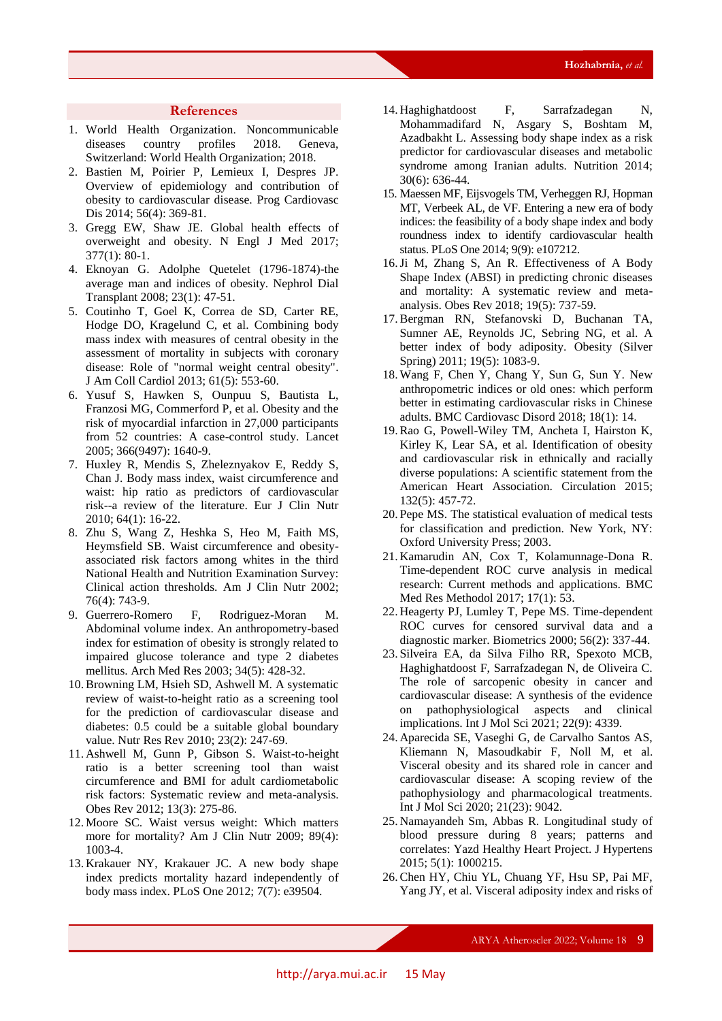#### **References**

- 1. World Health Organization. Noncommunicable diseases country profiles 2018. Geneva, Switzerland: World Health Organization; 2018.
- 2. Bastien M, Poirier P, Lemieux I, Despres JP. Overview of epidemiology and contribution of obesity to cardiovascular disease. Prog Cardiovasc Dis 2014; 56(4): 369-81.
- 3. Gregg EW, Shaw JE. Global health effects of overweight and obesity. N Engl J Med 2017; 377(1): 80-1.
- 4. Eknoyan G. Adolphe Quetelet (1796-1874)-the average man and indices of obesity. Nephrol Dial Transplant 2008; 23(1): 47-51.
- 5. Coutinho T, Goel K, Correa de SD, Carter RE, Hodge DO, Kragelund C, et al. Combining body mass index with measures of central obesity in the assessment of mortality in subjects with coronary disease: Role of "normal weight central obesity". J Am Coll Cardiol 2013; 61(5): 553-60.
- 6. Yusuf S, Hawken S, Ounpuu S, Bautista L, Franzosi MG, Commerford P, et al. Obesity and the risk of myocardial infarction in 27,000 participants from 52 countries: A case-control study. Lancet 2005; 366(9497): 1640-9.
- 7. Huxley R, Mendis S, Zheleznyakov E, Reddy S, Chan J. Body mass index, waist circumference and waist: hip ratio as predictors of cardiovascular risk--a review of the literature. Eur J Clin Nutr 2010; 64(1): 16-22.
- 8. Zhu S, Wang Z, Heshka S, Heo M, Faith MS, Heymsfield SB. Waist circumference and obesityassociated risk factors among whites in the third National Health and Nutrition Examination Survey: Clinical action thresholds. Am J Clin Nutr 2002; 76(4): 743-9.
- 9. Guerrero-Romero F, Rodriguez-Moran M. Abdominal volume index. An anthropometry-based index for estimation of obesity is strongly related to impaired glucose tolerance and type 2 diabetes mellitus. Arch Med Res 2003; 34(5): 428-32.
- 10.Browning LM, Hsieh SD, Ashwell M. A systematic review of waist-to-height ratio as a screening tool for the prediction of cardiovascular disease and diabetes: 0.5 could be a suitable global boundary value. Nutr Res Rev 2010; 23(2): 247-69.
- 11. Ashwell M, Gunn P, Gibson S. Waist-to-height ratio is a better screening tool than waist circumference and BMI for adult cardiometabolic risk factors: Systematic review and meta-analysis. Obes Rev 2012; 13(3): 275-86.
- 12. Moore SC. Waist versus weight: Which matters more for mortality? Am J Clin Nutr 2009; 89(4): 1003-4.
- 13. Krakauer NY, Krakauer JC. A new body shape index predicts mortality hazard independently of body mass index. PLoS One 2012; 7(7): e39504.
- 14. Haghighatdoost F, Sarrafzadegan N, Mohammadifard N, Asgary S, Boshtam M, Azadbakht L. Assessing body shape index as a risk predictor for cardiovascular diseases and metabolic syndrome among Iranian adults. Nutrition 2014; 30(6): 636-44.
- 15. Maessen MF, Eijsvogels TM, Verheggen RJ, Hopman MT, Verbeek AL, de VF. Entering a new era of body indices: the feasibility of a body shape index and body roundness index to identify cardiovascular health status. PLoS One 2014; 9(9): e107212.
- 16.Ji M, Zhang S, An R. Effectiveness of A Body Shape Index (ABSI) in predicting chronic diseases and mortality: A systematic review and metaanalysis. Obes Rev 2018; 19(5): 737-59.
- 17.Bergman RN, Stefanovski D, Buchanan TA, Sumner AE, Reynolds JC, Sebring NG, et al. A better index of body adiposity. Obesity (Silver Spring) 2011; 19(5): 1083-9.
- 18. Wang F, Chen Y, Chang Y, Sun G, Sun Y. New anthropometric indices or old ones: which perform better in estimating cardiovascular risks in Chinese adults. BMC Cardiovasc Disord 2018; 18(1): 14.
- 19.Rao G, Powell-Wiley TM, Ancheta I, Hairston K, Kirley K, Lear SA, et al. Identification of obesity and cardiovascular risk in ethnically and racially diverse populations: A scientific statement from the American Heart Association. Circulation 2015; 132(5): 457-72.
- 20. Pepe MS. The statistical evaluation of medical tests for classification and prediction. New York, NY: Oxford University Press; 2003.
- 21. Kamarudin AN, Cox T, Kolamunnage-Dona R. Time-dependent ROC curve analysis in medical research: Current methods and applications. BMC Med Res Methodol 2017; 17(1): 53.
- 22. Heagerty PJ, Lumley T, Pepe MS. Time-dependent ROC curves for censored survival data and a diagnostic marker. Biometrics 2000; 56(2): 337-44.
- 23. Silveira EA, da Silva Filho RR, Spexoto MCB, Haghighatdoost F, Sarrafzadegan N, de Oliveira C. The role of sarcopenic obesity in cancer and cardiovascular disease: A synthesis of the evidence on pathophysiological aspects and clinical implications. Int J Mol Sci 2021; 22(9): 4339.
- 24. Aparecida SE, Vaseghi G, de Carvalho Santos AS, Kliemann N, Masoudkabir F, Noll M, et al. Visceral obesity and its shared role in cancer and cardiovascular disease: A scoping review of the pathophysiology and pharmacological treatments. Int J Mol Sci 2020; 21(23): 9042.
- 25. Namayandeh Sm, Abbas R. Longitudinal study of blood pressure during 8 years; patterns and correlates: Yazd Healthy Heart Project. J Hypertens 2015; 5(1): 1000215.
- 26.Chen HY, Chiu YL, Chuang YF, Hsu SP, Pai MF, Yang JY, et al. Visceral adiposity index and risks of